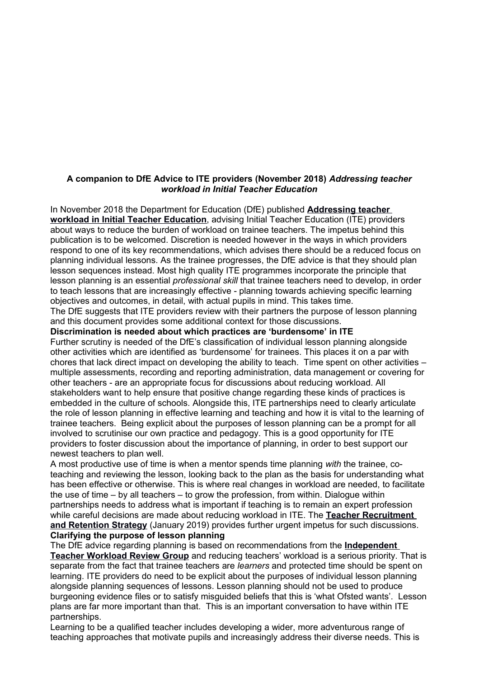# **A companion to DfE Advice to ITE providers (November 2018)** *Addressing teacher workload in Initial Teacher Education*

In November 2018 the Department for Education (DfE) published **[Addressing teacher](https://www.gov.uk/government/publications/addressing-workload-in-initial-teacher-education-ite)  [workload in Initial Teacher Education](https://www.gov.uk/government/publications/addressing-workload-in-initial-teacher-education-ite)**, advising Initial Teacher Education (ITE) providers about ways to reduce the burden of workload on trainee teachers. The impetus behind this publication is to be welcomed. Discretion is needed however in the ways in which providers respond to one of its key recommendations, which advises there should be a reduced focus on planning individual lessons. As the trainee progresses, the DfE advice is that they should plan lesson sequences instead. Most high quality ITE programmes incorporate the principle that lesson planning is an essential *professional skill* that trainee teachers need to develop, in order to teach lessons that are increasingly effective - planning towards achieving specific learning objectives and outcomes, in detail, with actual pupils in mind. This takes time. The DfE suggests that ITE providers review with their partners the purpose of lesson planning

and this document provides some additional context for those discussions.

# **Discrimination is needed about which practices are 'burdensome' in ITE**

Further scrutiny is needed of the DfE's classification of individual lesson planning alongside other activities which are identified as 'burdensome' for trainees. This places it on a par with chores that lack direct impact on developing the ability to teach. Time spent on other activities – multiple assessments, recording and reporting administration, data management or covering for other teachers - are an appropriate focus for discussions about reducing workload. All stakeholders want to help ensure that positive change regarding these kinds of practices is embedded in the culture of schools. Alongside this, ITE partnerships need to clearly articulate the role of lesson planning in effective learning and teaching and how it is vital to the learning of trainee teachers. Being explicit about the purposes of lesson planning can be a prompt for all involved to scrutinise our own practice and pedagogy. This is a good opportunity for ITE providers to foster discussion about the importance of planning, in order to best support our newest teachers to plan well.

A most productive use of time is when a mentor spends time planning *with* the trainee, coteaching and reviewing the lesson, looking back to the plan as the basis for understanding what has been effective or otherwise. This is where real changes in workload are needed, to facilitate the use of time – by all teachers – to grow the profession, from within. Dialogue within partnerships needs to address what is important if teaching is to remain an expert profession while careful decisions are made about reducing workload in ITE. The **[Teacher Recruitment](https://assets.publishing.service.gov.uk/government/uploads/system/uploads/attachment_data/file/773755/6.5092_DFE_Teacher_Retention_Strategy_Report_v10.pdf)  [and Retention Strategy](https://assets.publishing.service.gov.uk/government/uploads/system/uploads/attachment_data/file/773755/6.5092_DFE_Teacher_Retention_Strategy_Report_v10.pdf)** (January 2019) provides further urgent impetus for such discussions. **Clarifying the purpose of lesson planning**

The DfE advice regarding planning is based on recommendations from the **[Independent](https://assets.publishing.service.gov.uk/government/uploads/system/uploads/attachment_data/file/511257/Eliminating-unnecessary-workload-around-planning-and-teaching-resources.pdf)  [Teacher Workload Review Group](https://assets.publishing.service.gov.uk/government/uploads/system/uploads/attachment_data/file/511257/Eliminating-unnecessary-workload-around-planning-and-teaching-resources.pdf)** and reducing teachers' workload is a serious priority. That is separate from the fact that trainee teachers are *learners* and protected time should be spent on learning. ITE providers do need to be explicit about the purposes of individual lesson planning alongside planning sequences of lessons. Lesson planning should not be used to produce burgeoning evidence files or to satisfy misguided beliefs that this is 'what Ofsted wants'. Lesson plans are far more important than that. This is an important conversation to have within ITE partnerships.

Learning to be a qualified teacher includes developing a wider, more adventurous range of teaching approaches that motivate pupils and increasingly address their diverse needs. This is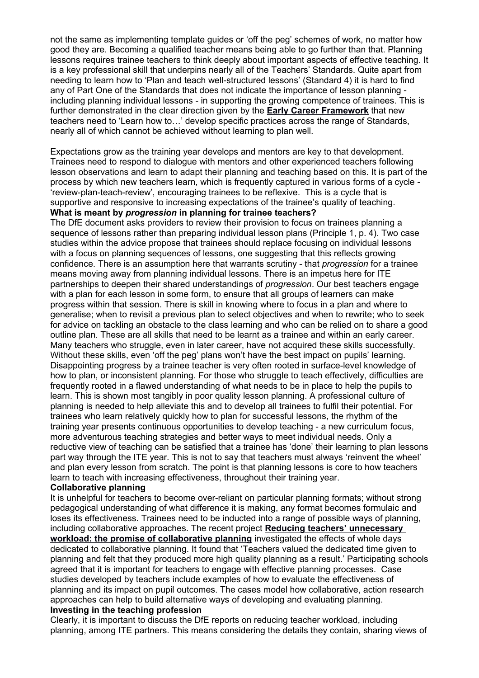not the same as implementing template guides or 'off the peg' schemes of work, no matter how good they are. Becoming a qualified teacher means being able to go further than that. Planning lessons requires trainee teachers to think deeply about important aspects of effective teaching. It is a key professional skill that underpins nearly all of the Teachers' Standards. Quite apart from needing to learn how to 'Plan and teach well-structured lessons' (Standard 4) it is hard to find any of Part One of the Standards that does not indicate the importance of lesson planning including planning individual lessons - in supporting the growing competence of trainees. This is further demonstrated in the clear direction given by the **[Early Career Framework](https://assets.publishing.service.gov.uk/government/uploads/system/uploads/attachment_data/file/773705/Early-Career_Framework.pdf)** that new teachers need to 'Learn how to…' develop specific practices across the range of Standards, nearly all of which cannot be achieved without learning to plan well.

Expectations grow as the training year develops and mentors are key to that development. Trainees need to respond to dialogue with mentors and other experienced teachers following lesson observations and learn to adapt their planning and teaching based on this. It is part of the process by which new teachers learn, which is frequently captured in various forms of a cycle - 'review-plan-teach-review', encouraging trainees to be reflexive. This is a cycle that is supportive and responsive to increasing expectations of the trainee's quality of teaching. **What is meant by** *progression* **in planning for trainee teachers?** 

The DfE document asks providers to review their provision to focus on trainees planning a sequence of lessons rather than preparing individual lesson plans (Principle 1, p. 4). Two case studies within the advice propose that trainees should replace focusing on individual lessons with a focus on planning sequences of lessons, one suggesting that this reflects growing confidence. There is an assumption here that warrants scrutiny - that *progression* for a trainee means moving away from planning individual lessons. There is an impetus here for ITE partnerships to deepen their shared understandings of *progression*. Our best teachers engage with a plan for each lesson in some form, to ensure that all groups of learners can make progress within that session. There is skill in knowing where to focus in a plan and where to generalise; when to revisit a previous plan to select objectives and when to rewrite; who to seek for advice on tackling an obstacle to the class learning and who can be relied on to share a good outline plan. These are all skills that need to be learnt as a trainee and within an early career. Many teachers who struggle, even in later career, have not acquired these skills successfully. Without these skills, even 'off the peg' plans won't have the best impact on pupils' learning. Disappointing progress by a trainee teacher is very often rooted in surface-level knowledge of how to plan, or inconsistent planning. For those who struggle to teach effectively, difficulties are frequently rooted in a flawed understanding of what needs to be in place to help the pupils to learn. This is shown most tangibly in poor quality lesson planning. A professional culture of planning is needed to help alleviate this and to develop all trainees to fulfil their potential. For trainees who learn relatively quickly how to plan for successful lessons, the rhythm of the training year presents continuous opportunities to develop teaching - a new curriculum focus, more adventurous teaching strategies and better ways to meet individual needs. Only a reductive view of teaching can be satisfied that a trainee has 'done' their learning to plan lessons part way through the ITE year. This is not to say that teachers must always 'reinvent the wheel' and plan every lesson from scratch. The point is that planning lessons is core to how teachers learn to teach with increasing effectiveness, throughout their training year.

### **Collaborative planning**

It is unhelpful for teachers to become over-reliant on particular planning formats; without strong pedagogical understanding of what difference it is making, any format becomes formulaic and loses its effectiveness. Trainees need to be inducted into a range of possible ways of planning, including collaborative approaches. The recent project **[Reducing teachers' unnecessary](file:///C:%5CUsers%5CUser%5CDownloads%5CTeaching_School_Alliance_-_Reducing_teacher_workload.pdf)  [workload: the promise of collaborative planning](file:///C:%5CUsers%5CUser%5CDownloads%5CTeaching_School_Alliance_-_Reducing_teacher_workload.pdf)** investigated the effects of whole days dedicated to collaborative planning. It found that 'Teachers valued the dedicated time given to planning and felt that they produced more high quality planning as a result.' Participating schools agreed that it is important for teachers to engage with effective planning processes. Case studies developed by teachers include examples of how to evaluate the effectiveness of planning and its impact on pupil outcomes. The cases model how collaborative, action research approaches can help to build alternative ways of developing and evaluating planning. **Investing in the teaching profession** 

Clearly, it is important to discuss the DfE reports on reducing teacher workload, including planning, among ITE partners. This means considering the details they contain, sharing views of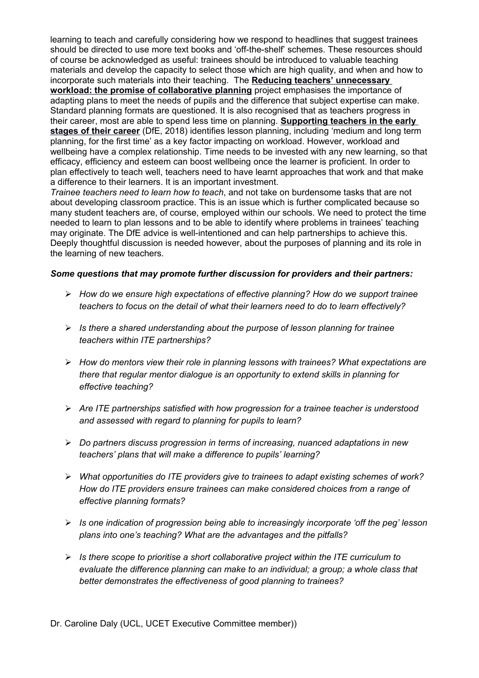learning to teach and carefully considering how we respond to headlines that suggest trainees should be directed to use more text books and 'off-the-shelf' schemes. These resources should of course be acknowledged as useful: trainees should be introduced to valuable teaching materials and develop the capacity to select those which are high quality, and when and how to incorporate such materials into their teaching. The **[Reducing teachers' unnecessary](file:///C:%5CUsers%5Clocaluser%5CDocuments%5CDocuments%5CUCET%20Exec%5C8%20Jan%202019%5CTeaching_School_Alliance_-_Reducing_teacher_workload.pdf)  [workload: the promise of collaborative planning](file:///C:%5CUsers%5Clocaluser%5CDocuments%5CDocuments%5CUCET%20Exec%5C8%20Jan%202019%5CTeaching_School_Alliance_-_Reducing_teacher_workload.pdf)** project emphasises the importance of adapting plans to meet the needs of pupils and the difference that subject expertise can make. Standard planning formats are questioned. It is also recognised that as teachers progress in their career, most are able to spend less time on planning. **[Supporting teachers in the early](https://assets.publishing.service.gov.uk/government/uploads/system/uploads/attachment_data/file/728163/Supporting_teachers_in_the_early_stages_of_their_career_.pdf)  [stages of their career](https://assets.publishing.service.gov.uk/government/uploads/system/uploads/attachment_data/file/728163/Supporting_teachers_in_the_early_stages_of_their_career_.pdf)** (DfE, 2018) identifies lesson planning, including 'medium and long term planning, for the first time' as a key factor impacting on workload. However, workload and wellbeing have a complex relationship. Time needs to be invested with any new learning, so that efficacy, efficiency and esteem can boost wellbeing once the learner is proficient. In order to plan effectively to teach well, teachers need to have learnt approaches that work and that make a difference to their learners. It is an important investment.

*Trainee teachers need to learn how to teach*, and not take on burdensome tasks that are not about developing classroom practice. This is an issue which is further complicated because so many student teachers are, of course, employed within our schools. We need to protect the time needed to learn to plan lessons and to be able to identify where problems in trainees' teaching may originate. The DfE advice is well-intentioned and can help partnerships to achieve this. Deeply thoughtful discussion is needed however, about the purposes of planning and its role in the learning of new teachers.

# *Some questions that may promote further discussion for providers and their partners:*

- *How do we ensure high expectations of effective planning? How do we support trainee teachers to focus on the detail of what their learners need to do to learn effectively?*
- *Is there a shared understanding about the purpose of lesson planning for trainee teachers within ITE partnerships?*
- *How do mentors view their role in planning lessons with trainees? What expectations are there that regular mentor dialogue is an opportunity to extend skills in planning for effective teaching?*
- *Are ITE partnerships satisfied with how progression for a trainee teacher is understood and assessed with regard to planning for pupils to learn?*
- *Do partners discuss progression in terms of increasing, nuanced adaptations in new teachers' plans that will make a difference to pupils' learning?*
- *What opportunities do ITE providers give to trainees to adapt existing schemes of work? How do ITE providers ensure trainees can make considered choices from a range of effective planning formats?*
- *Is one indication of progression being able to increasingly incorporate 'off the peg' lesson plans into one's teaching? What are the advantages and the pitfalls?*
- *Is there scope to prioritise a short collaborative project within the ITE curriculum to evaluate the difference planning can make to an individual; a group; a whole class that better demonstrates the effectiveness of good planning to trainees?*